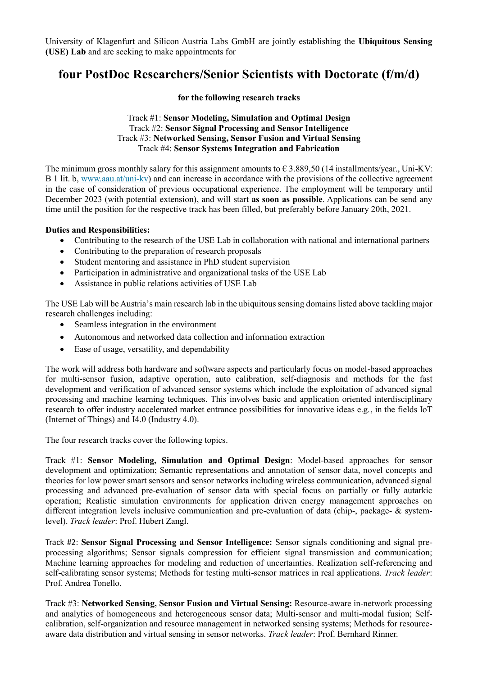University of Klagenfurt and Silicon Austria Labs GmbH are jointly establishing the **Ubiquitous Sensing (USE) Lab** and are seeking to make appointments for

# **four PostDoc Researchers/Senior Scientists with Doctorate (f/m/d)**

### **for the following research tracks**

## Track #1: **Sensor Modeling, Simulation and Optimal Design** Track #2: **Sensor Signal Processing and Sensor Intelligence** Track #3: **Networked Sensing, Sensor Fusion and Virtual Sensing** Track #4: **Sensor Systems Integration and Fabrication**

The minimum gross monthly salary for this assignment amounts to  $\epsilon$  3.889,50 (14 installments/year., Uni-KV: B 1 lit. b, [www.aau.at/uni-kv\)](http://www.aau.at/uni-kv) and can increase in accordance with the provisions of the collective agreement in the case of consideration of previous occupational experience. The employment will be temporary until December 2023 (with potential extension), and will start **as soon as possible**. Applications can be send any time until the position for the respective track has been filled, but preferably before January 20th, 2021.

# **Duties and Responsibilities:**

- Contributing to the research of the USE Lab in collaboration with national and international partners
- Contributing to the preparation of research proposals
- Student mentoring and assistance in PhD student supervision
- Participation in administrative and organizational tasks of the USE Lab
- Assistance in public relations activities of USE Lab

The USE Lab will be Austria's main research lab in the ubiquitous sensing domains listed above tackling major research challenges including:

- Seamless integration in the environment
- Autonomous and networked data collection and information extraction
- Ease of usage, versatility, and dependability

The work will address both hardware and software aspects and particularly focus on model-based approaches for multi-sensor fusion, adaptive operation, auto calibration, self-diagnosis and methods for the fast development and verification of advanced sensor systems which include the exploitation of advanced signal processing and machine learning techniques. This involves basic and application oriented interdisciplinary research to offer industry accelerated market entrance possibilities for innovative ideas e.g., in the fields IoT (Internet of Things) and I4.0 (Industry 4.0).

The four research tracks cover the following topics.

Track #1: **Sensor Modeling, Simulation and Optimal Design**: Model-based approaches for sensor development and optimization; Semantic representations and annotation of sensor data, novel concepts and theories for low power smart sensors and sensor networks including wireless communication, advanced signal processing and advanced pre-evaluation of sensor data with special focus on partially or fully autarkic operation; Realistic simulation environments for application driven energy management approaches on different integration levels inclusive communication and pre-evaluation of data (chip-, package- & systemlevel). *Track leader*: Prof. Hubert Zangl.

Track #2: **Sensor Signal Processing and Sensor Intelligence:** Sensor signals conditioning and signal preprocessing algorithms; Sensor signals compression for efficient signal transmission and communication; Machine learning approaches for modeling and reduction of uncertainties. Realization self-referencing and self-calibrating sensor systems; Methods for testing multi-sensor matrices in real applications. *Track leader*: Prof. Andrea Tonello.

Track #3: **Networked Sensing, Sensor Fusion and Virtual Sensing:** Resource-aware in-network processing and analytics of homogeneous and heterogeneous sensor data; Multi-sensor and multi-modal fusion; Selfcalibration, self-organization and resource management in networked sensing systems; Methods for resourceaware data distribution and virtual sensing in sensor networks. *Track leader*: Prof. Bernhard Rinner.